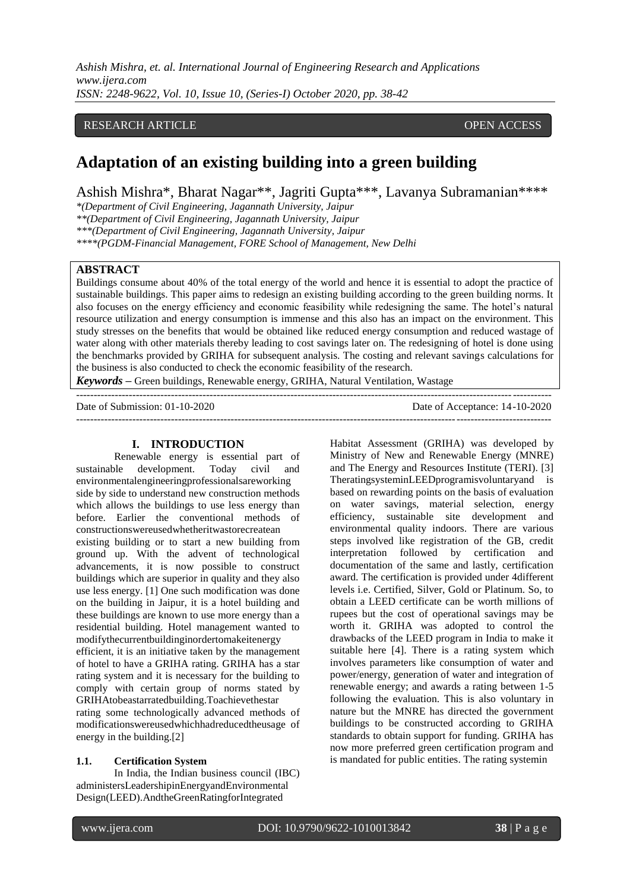*Ashish Mishra, et. al. International Journal of Engineering Research and Applications www.ijera.com ISSN: 2248-9622, Vol. 10, Issue 10, (Series-I) October 2020, pp. 38-42*

# RESEARCH ARTICLE **CONSERVERS** OPEN ACCESS

# **Adaptation of an existing building into a green building**

Ashish Mishra\*, Bharat Nagar\*\*, Jagriti Gupta\*\*\*, Lavanya Subramanian\*\*\*\*

*\*(Department of Civil Engineering, Jagannath University, Jaipur* 

*\*\*(Department of Civil Engineering, Jagannath University, Jaipur*

*\*\*\*(Department of Civil Engineering, Jagannath University, Jaipur* 

*\*\*\*\*(PGDM-Financial Management, FORE School of Management, New Delhi* 

## **ABSTRACT**

Buildings consume about 40% of the total energy of the world and hence it is essential to adopt the practice of sustainable buildings. This paper aims to redesign an existing building according to the green building norms. It also focuses on the energy efficiency and economic feasibility while redesigning the same. The hotel's natural resource utilization and energy consumption is immense and this also has an impact on the environment. This study stresses on the benefits that would be obtained like reduced energy consumption and reduced wastage of water along with other materials thereby leading to cost savings later on. The redesigning of hotel is done using the benchmarks provided by GRIHA for subsequent analysis. The costing and relevant savings calculations for the business is also conducted to check the economic feasibility of the research.

*Keywords –* Green buildings, Renewable energy, GRIHA, Natural Ventilation, Wastage

| Date of Submission: $01-10-2020$ | Date of Acceptance: 14-10-2020 |
|----------------------------------|--------------------------------|
|                                  |                                |

#### **I. INTRODUCTION**

Renewable energy is essential part of sustainable development. Today civil and environmentalengineeringprofessionalsareworking side by side to understand new construction methods which allows the buildings to use less energy than before. Earlier the conventional methods of constructionswereusedwhetheritwastorecreatean existing building or to start a new building from ground up. With the advent of technological advancements, it is now possible to construct buildings which are superior in quality and they also use less energy. [1] One such modification was done on the building in Jaipur, it is a hotel building and these buildings are known to use more energy than a residential building. Hotel management wanted to modifythecurrentbuildinginordertomakeitenergy efficient, it is an initiative taken by the management of hotel to have a GRIHA rating. GRIHA has a star rating system and it is necessary for the building to comply with certain group of norms stated by GRIHAtobeastarratedbuilding.Toachievethestar rating some technologically advanced methods of modificationswereusedwhichhadreducedtheusage of energy in the building.[2]

# **1.1. Certification System**

In India, the Indian business council (IBC) administersLeadershipinEnergyandEnvironmental Design(LEED).AndtheGreenRatingforIntegrated

Habitat Assessment (GRIHA) was developed by Ministry of New and Renewable Energy (MNRE) and The Energy and Resources Institute (TERI). [3] TheratingsysteminLEEDprogramisvoluntaryand is based on rewarding points on the basis of evaluation on water savings, material selection, energy efficiency, sustainable site development and environmental quality indoors. There are various steps involved like registration of the GB, credit interpretation followed by certification and documentation of the same and lastly, certification award. The certification is provided under 4different levels i.e. Certified, Silver, Gold or Platinum. So, to obtain a LEED certificate can be worth millions of rupees but the cost of operational savings may be worth it. GRIHA was adopted to control the drawbacks of the LEED program in India to make it suitable here [4]. There is a rating system which involves parameters like consumption of water and power/energy, generation of water and integration of renewable energy; and awards a rating between 1-5 following the evaluation. This is also voluntary in nature but the MNRE has directed the government buildings to be constructed according to GRIHA standards to obtain support for funding. GRIHA has now more preferred green certification program and is mandated for public entities. The rating systemin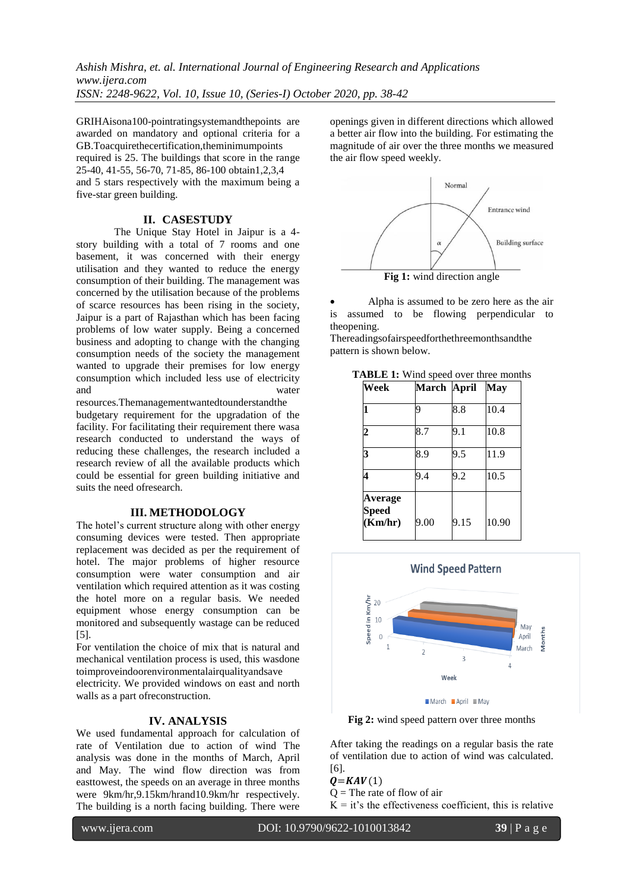*Ashish Mishra, et. al. International Journal of Engineering Research and Applications www.ijera.com ISSN: 2248-9622, Vol. 10, Issue 10, (Series-I) October 2020, pp. 38-42*

GRIHAisona100-pointratingsystemandthepoints are awarded on mandatory and optional criteria for a GB.Toacquirethecertification,theminimumpoints required is 25. The buildings that score in the range 25-40, 41-55, 56-70, 71-85, 86-100 obtain1,2,3,4 and 5 stars respectively with the maximum being a five-star green building.

# **II. CASESTUDY**

The Unique Stay Hotel in Jaipur is a 4 story building with a total of 7 rooms and one basement, it was concerned with their energy utilisation and they wanted to reduce the energy consumption of their building. The management was concerned by the utilisation because of the problems of scarce resources has been rising in the society, Jaipur is a part of Rajasthan which has been facing problems of low water supply. Being a concerned business and adopting to change with the changing consumption needs of the society the management wanted to upgrade their premises for low energy consumption which included less use of electricity and water

resources.Themanagementwantedtounderstandthe budgetary requirement for the upgradation of the facility. For facilitating their requirement there wasa research conducted to understand the ways of reducing these challenges, the research included a research review of all the available products which could be essential for green building initiative and suits the need ofresearch.

#### **III. METHODOLOGY**

The hotel's current structure along with other energy consuming devices were tested. Then appropriate replacement was decided as per the requirement of hotel. The major problems of higher resource consumption were water consumption and air ventilation which required attention as it was costing the hotel more on a regular basis. We needed equipment whose energy consumption can be monitored and subsequently wastage can be reduced [5].

For ventilation the choice of mix that is natural and mechanical ventilation process is used, this wasdone toimproveindoorenvironmentalairqualityandsave

electricity. We provided windows on east and north walls as a part ofreconstruction.

#### **IV. ANALYSIS**

We used fundamental approach for calculation of rate of Ventilation due to action of wind The analysis was done in the months of March, April and May. The wind flow direction was from easttowest, the speeds on an average in three months were 9km/hr,9.15km/hrand10.9km/hr respectively. The building is a north facing building. There were

openings given in different directions which allowed a better air flow into the building. For estimating the magnitude of air over the three months we measured the air flow speed weekly.



**Fig 1:** wind direction angle

 Alpha is assumed to be zero here as the air is assumed to be flowing perpendicular to theopening.

Thereadingsofairspeedforthethreemonthsandthe pattern is shown below.

|  |  |  |  | <b>TABLE 1:</b> Wind speed over three months |  |  |  |  |
|--|--|--|--|----------------------------------------------|--|--|--|--|
|--|--|--|--|----------------------------------------------|--|--|--|--|

| Week                        | March April |      | <b>May</b> |
|-----------------------------|-------------|------|------------|
| $\mathbf{1}$                | q           | 8.8  | 10.4       |
| $\overline{2}$              | 8.7         | 9.1  | 10.8       |
| 3                           | 8.9         | 9.5  | 11.9       |
| 4                           | 9.4         | 9.2  | 10.5       |
| Average<br>Speed<br>(Km/hr) | 9.00        | 9.15 | 10.90      |



**Fig 2:** wind speed pattern over three months

After taking the readings on a regular basis the rate of ventilation due to action of wind was calculated. [6].

 $Q=KAV(1)$ 

$$
Q =
$$
The rate of flow of air

 $K = it's$  the effectiveness coefficient, this is relative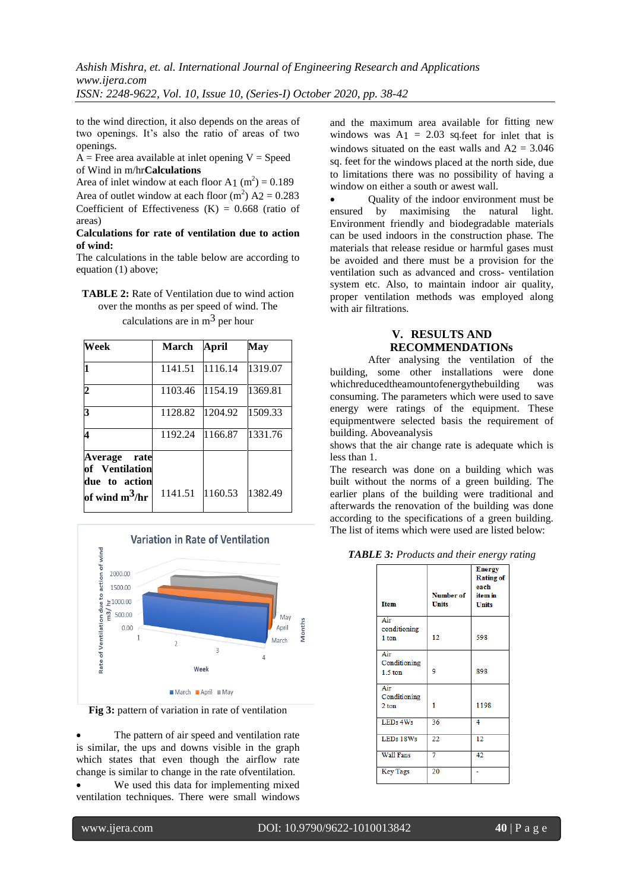to the wind direction, it also depends on the areas of two openings. It's also the ratio of areas of two openings.

 $A$  = Free area available at inlet opening V = Speed of Wind in m/hr**Calculations**

Area of inlet window at each floor A<sub>1</sub> (m<sup>2</sup>) =  $0.189$ Area of outlet window at each floor  $(m^2)$  A2 = 0.283 Coefficient of Effectiveness  $(K) = 0.668$  (ratio of areas)

## **Calculations for rate of ventilation due to action of wind:**

The calculations in the table below are according to equation (1) above;

| <b>TABLE 2:</b> Rate of Ventilation due to wind action |
|--------------------------------------------------------|
| over the months as per speed of wind. The              |
| calculations are in $m3$ per hour                      |

| Week                                                                           | <b>March</b>    | April   | <b>May</b> |
|--------------------------------------------------------------------------------|-----------------|---------|------------|
|                                                                                | 1141.51 1116.14 |         | 1319.07    |
| 2                                                                              | 1103.46         | 1154.19 | 1369.81    |
| 3                                                                              | 1128.82         | 1204.92 | 1509.33    |
|                                                                                | 1192.24         | 1166.87 | 1331.76    |
| <b>Average</b><br>rate<br>of Ventilation<br>due to action<br>of wind $m^3$ /hr | 1141.51         | 1160.53 | 1382.49    |



**Fig 3:** pattern of variation in rate of ventilation

 The pattern of air speed and ventilation rate is similar, the ups and downs visible in the graph which states that even though the airflow rate change is similar to change in the rate ofventilation.

 We used this data for implementing mixed ventilation techniques. There were small windows

and the maximum area available for fitting new windows was  $A_1 = 2.03$  sq.feet for inlet that is windows situated on the east walls and  $A2 = 3.046$ sq. feet for the windows placed at the north side, due to limitations there was no possibility of having a window on either a south or awest wall.

 Quality of the indoor environment must be ensured by maximising the natural light. Environment friendly and biodegradable materials can be used indoors in the construction phase. The materials that release residue or harmful gases must be avoided and there must be a provision for the ventilation such as advanced and cross- ventilation system etc. Also, to maintain indoor air quality, proper ventilation methods was employed along with air filtrations.

# **V. RESULTS AND RECOMMENDATIONs**

After analysing the ventilation of the building, some other installations were done whichreducedtheamountofenergythebuilding was consuming. The parameters which were used to save energy were ratings of the equipment. These equipmentwere selected basis the requirement of building. Aboveanalysis

shows that the air change rate is adequate which is less than 1.

The research was done on a building which was built without the norms of a green building. The earlier plans of the building were traditional and afterwards the renovation of the building was done according to the specifications of a green building. The list of items which were used are listed below:

|  |  |  | TABLE 3: Products and their energy rating |  |  |  |  |
|--|--|--|-------------------------------------------|--|--|--|--|
|--|--|--|-------------------------------------------|--|--|--|--|

|                                  |                                  | ັ້                                                                   |
|----------------------------------|----------------------------------|----------------------------------------------------------------------|
| <b>Item</b>                      | <b>Number of</b><br><b>Units</b> | <b>Energy</b><br><b>Rating of</b><br>each<br>item in<br><b>Units</b> |
| Air<br>conditioning<br>1 ton     | 12                               | 598                                                                  |
| Air<br>Conditioning<br>$1.5$ ton | 9                                | 898                                                                  |
| Air<br>Conditioning<br>2 ton     | 1                                | 1198                                                                 |
| LEDs 4Ws                         | 36                               | 4                                                                    |
| LEDs 18Ws                        | 22                               | 12                                                                   |
| <b>Wall Fans</b>                 | 7                                | 42                                                                   |
| <b>Key Tags</b>                  | 20                               |                                                                      |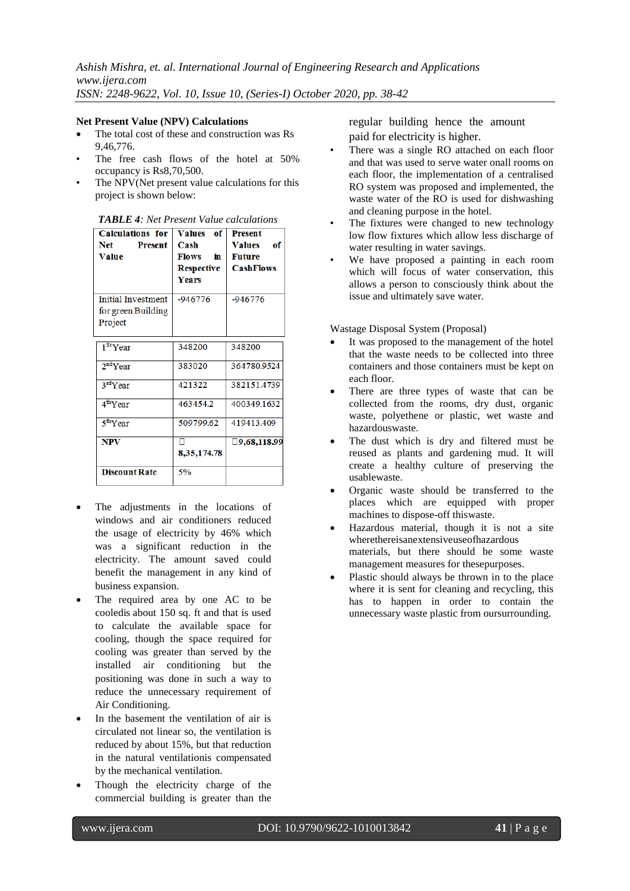## **Net Present Value (NPV) Calculations**

- The total cost of these and construction was Rs 9,46,776.
- The free cash flows of the hotel at 50% occupancy is Rs8,70,500.
- The NPV(Net present value calculations for this project is shown below:

| <b>Calculations for</b><br>Net<br><b>Present</b><br><b>Value</b> | <b>Values</b><br>of<br>Cash<br><b>Flows</b><br>in.<br><b>Respective</b><br>Years | <b>Present</b><br><b>Values</b><br>оf<br><b>Future</b><br><b>CashFlows</b> |
|------------------------------------------------------------------|----------------------------------------------------------------------------------|----------------------------------------------------------------------------|
| <b>Initial Investment</b><br>for green Building<br>Project       | $-946776$                                                                        | $-946776$                                                                  |
| 1 <sup>St</sup> Year                                             | 348200                                                                           | 348200                                                                     |
| 2 <sup>nd</sup> Year                                             | 383020                                                                           | 364780.9524                                                                |
| 3 <sup>rd</sup> Year                                             | 421322                                                                           | 382151.4739                                                                |
| 4 <sup>th</sup> Year                                             | 463454.2                                                                         | 400349.1632                                                                |
| 5 <sup>th</sup> Year                                             | 509799.62                                                                        | 419413.409                                                                 |
| <b>NPV</b>                                                       | 8, 35, 174. 78                                                                   | $\square$ 9,68,118.99                                                      |
| <b>Discount Rate</b>                                             | 5%                                                                               |                                                                            |

| <b>TABLE 4:</b> Net Present Value calculations |  |
|------------------------------------------------|--|
|------------------------------------------------|--|

- The adjustments in the locations of windows and air conditioners reduced the usage of electricity by 46% which was a significant reduction in the electricity. The amount saved could benefit the management in any kind of business expansion.
- The required area by one AC to be cooledis about 150 sq. ft and that is used to calculate the available space for cooling, though the space required for cooling was greater than served by the installed air conditioning but the positioning was done in such a way to reduce the unnecessary requirement of Air Conditioning.
- In the basement the ventilation of air is circulated not linear so, the ventilation is reduced by about 15%, but that reduction in the natural ventilationis compensated by the mechanical ventilation.
- Though the electricity charge of the commercial building is greater than the

regular building hence the amount paid for electricity is higher.

- There was a single RO attached on each floor and that was used to serve water onall rooms on each floor, the implementation of a centralised RO system was proposed and implemented, the waste water of the RO is used for dishwashing and cleaning purpose in the hotel.
- The fixtures were changed to new technology low flow fixtures which allow less discharge of water resulting in water savings.
- We have proposed a painting in each room which will focus of water conservation, this allows a person to consciously think about the issue and ultimately save water.

Wastage Disposal System (Proposal)

- It was proposed to the management of the hotel that the waste needs to be collected into three containers and those containers must be kept on each floor.
- There are three types of waste that can be collected from the rooms, dry dust, organic waste, polyethene or plastic, wet waste and hazardouswaste.
- The dust which is dry and filtered must be reused as plants and gardening mud. It will create a healthy culture of preserving the usablewaste.
- Organic waste should be transferred to the places which are equipped with proper machines to dispose-off thiswaste.
- Hazardous material, though it is not a site wherethereisanextensiveuseofhazardous materials, but there should be some waste management measures for thesepurposes.
- Plastic should always be thrown in to the place where it is sent for cleaning and recycling, this has to happen in order to contain the unnecessary waste plastic from oursurrounding.